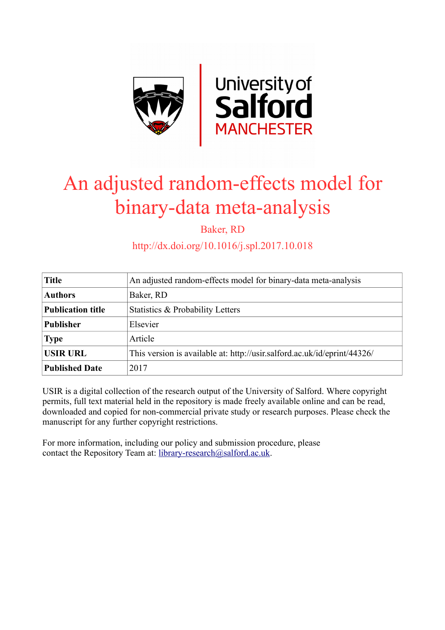

# An adjusted random-effects model for binary-data meta-analysis

Baker, RD

http://dx.doi.org/10.1016/j.spl.2017.10.018

| <b>Title</b>             | An adjusted random-effects model for binary-data meta-analysis           |
|--------------------------|--------------------------------------------------------------------------|
| <b>Authors</b>           | Baker, RD                                                                |
| <b>Publication title</b> | Statistics & Probability Letters                                         |
| <b>Publisher</b>         | Elsevier                                                                 |
| <b>Type</b>              | Article                                                                  |
| <b>USIR URL</b>          | This version is available at: http://usir.salford.ac.uk/id/eprint/44326/ |
| <b>Published Date</b>    | 2017                                                                     |

USIR is a digital collection of the research output of the University of Salford. Where copyright permits, full text material held in the repository is made freely available online and can be read, downloaded and copied for non-commercial private study or research purposes. Please check the manuscript for any further copyright restrictions.

For more information, including our policy and submission procedure, please contact the Repository Team at: [library-research@salford.ac.uk.](mailto:library-research@salford.ac.uk)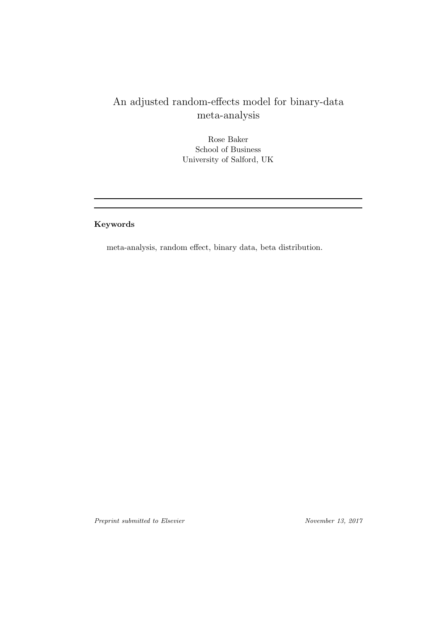## An adjusted random-effects model for binary-data meta-analysis

Rose Baker School of Business University of Salford, UK

Keywords

meta-analysis, random effect, binary data, beta distribution.

Preprint submitted to Elsevier November 13, 2017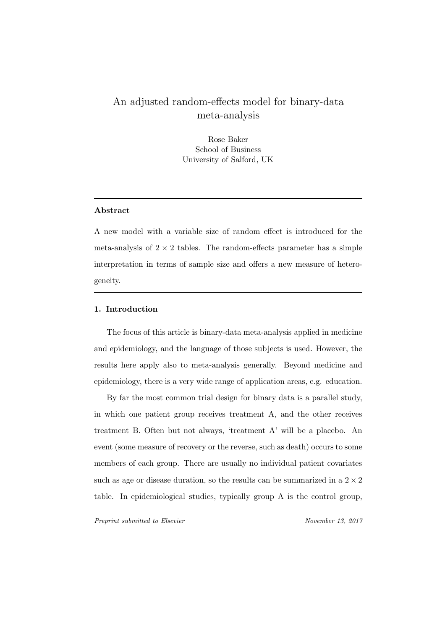### An adjusted random-effects model for binary-data meta-analysis

Rose Baker School of Business University of Salford, UK

#### Abstract

A new model with a variable size of random effect is introduced for the meta-analysis of  $2 \times 2$  tables. The random-effects parameter has a simple interpretation in terms of sample size and offers a new measure of heterogeneity.

#### 1. Introduction

The focus of this article is binary-data meta-analysis applied in medicine and epidemiology, and the language of those subjects is used. However, the results here apply also to meta-analysis generally. Beyond medicine and epidemiology, there is a very wide range of application areas, e.g. education.

By far the most common trial design for binary data is a parallel study, in which one patient group receives treatment A, and the other receives treatment B. Often but not always, 'treatment A' will be a placebo. An event (some measure of recovery or the reverse, such as death) occurs to some members of each group. There are usually no individual patient covariates such as age or disease duration, so the results can be summarized in a  $2 \times 2$ table. In epidemiological studies, typically group A is the control group,

Preprint submitted to Elsevier November 13, 2017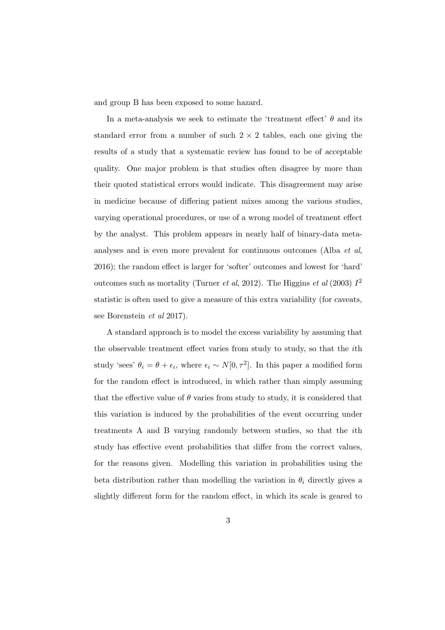and group B has been exposed to some hazard.

In a meta-analysis we seek to estimate the 'treatment effect'  $\theta$  and its standard error from a number of such  $2 \times 2$  tables, each one giving the results of a study that a systematic review has found to be of acceptable quality. One major problem is that studies often disagree by more than their quoted statistical errors would indicate. This disagreement may arise in medicine because of differing patient mixes among the various studies, varying operational procedures, or use of a wrong model of treatment effect by the analyst. This problem appears in nearly half of binary-data metaanalyses and is even more prevalent for continuous outcomes (Alba et al, 2016); the random effect is larger for 'softer' outcomes and lowest for 'hard' outcomes such as mortality (Turner *et al*, 2012). The Higgins *et al* (2003)  $I^2$ statistic is often used to give a measure of this extra variability (for caveats, see Borenstein et al 2017).

A standard approach is to model the excess variability by assuming that the observable treatment effect varies from study to study, so that the ith study 'sees'  $\theta_i = \theta + \epsilon_i$ , where  $\epsilon_i \sim N[0, \tau^2]$ . In this paper a modified form for the random effect is introduced, in which rather than simply assuming that the effective value of  $\theta$  varies from study to study, it is considered that this variation is induced by the probabilities of the event occurring under treatments A and B varying randomly between studies, so that the ith study has effective event probabilities that differ from the correct values, for the reasons given. Modelling this variation in probabilities using the beta distribution rather than modelling the variation in  $\theta_i$  directly gives a slightly different form for the random effect, in which its scale is geared to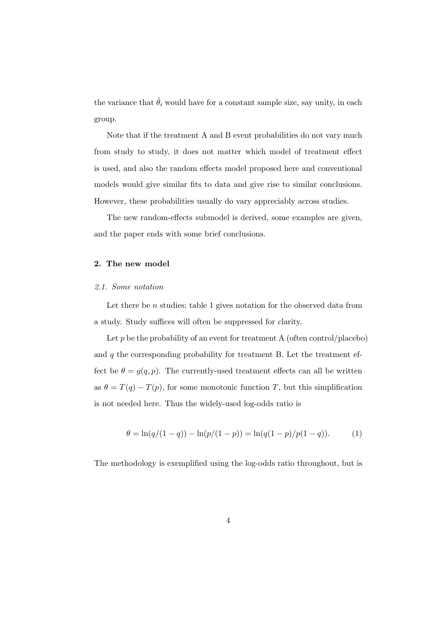the variance that  $\hat{\theta}_i$  would have for a constant sample size, say unity, in each group.

Note that if the treatment A and B event probabilities do not vary much from study to study, it does not matter which model of treatment effect is used, and also the random effects model proposed here and conventional models would give similar fits to data and give rise to similar conclusions. However, these probabilities usually do vary appreciably across studies.

The new random-effects submodel is derived, some examples are given, and the paper ends with some brief conclusions.

#### 2. The new model

#### 2.1. Some notation

Let there be  $n$  studies; table 1 gives notation for the observed data from a study. Study suffices will often be suppressed for clarity.

Let  $p$  be the probability of an event for treatment A (often control/placebo) and  $q$  the corresponding probability for treatment B. Let the treatment effect be  $\theta = g(q, p)$ . The currently-used treatment effects can all be written as  $\theta = T(q) - T(p)$ , for some monotonic function T, but this simplification is not needed here. Thus the widely-used log-odds ratio is

$$
\theta = \ln(q/(1-q)) - \ln(p/(1-p)) = \ln(q(1-p)/p(1-q)).
$$
 (1)

The methodology is exemplified using the log-odds ratio throughout, but is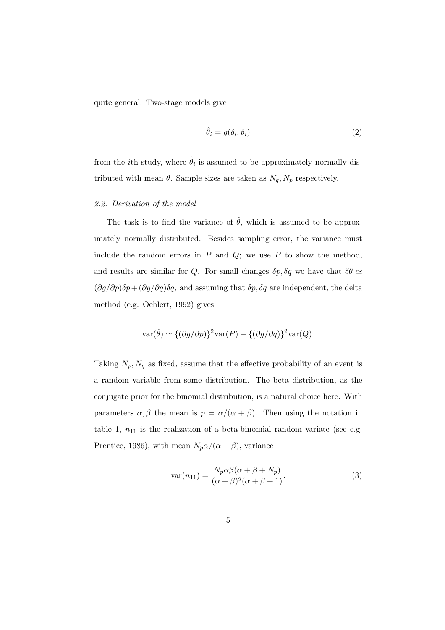quite general. Two-stage models give

$$
\hat{\theta}_i = g(\hat{q}_i, \hat{p}_i) \tag{2}
$$

from the *i*th study, where  $\hat{\theta}_i$  is assumed to be approximately normally distributed with mean  $\theta$ . Sample sizes are taken as  $N_q$ ,  $N_p$  respectively.

#### 2.2. Derivation of the model

The task is to find the variance of  $\hat{\theta}$ , which is assumed to be approximately normally distributed. Besides sampling error, the variance must include the random errors in  $P$  and  $Q$ ; we use  $P$  to show the method, and results are similar for Q. For small changes  $\delta p, \delta q$  we have that  $\delta \theta \simeq$  $(\partial g/\partial p)\delta p + (\partial g/\partial q)\delta q$ , and assuming that  $\delta p$ ,  $\delta q$  are independent, the delta method (e.g. Oehlert, 1992) gives

$$
\text{var}(\hat{\theta}) \simeq \{ (\partial g/\partial p)\}^2 \text{var}(P) + \{ (\partial g/\partial q)\}^2 \text{var}(Q).
$$

Taking  $N_p$ ,  $N_q$  as fixed, assume that the effective probability of an event is a random variable from some distribution. The beta distribution, as the conjugate prior for the binomial distribution, is a natural choice here. With parameters  $\alpha, \beta$  the mean is  $p = \alpha/(\alpha + \beta)$ . Then using the notation in table 1,  $n_{11}$  is the realization of a beta-binomial random variate (see e.g. Prentice, 1986), with mean  $N_p \alpha/(\alpha + \beta)$ , variance

$$
\operatorname{var}(n_{11}) = \frac{N_p \alpha \beta (\alpha + \beta + N_p)}{(\alpha + \beta)^2 (\alpha + \beta + 1)}.
$$
\n(3)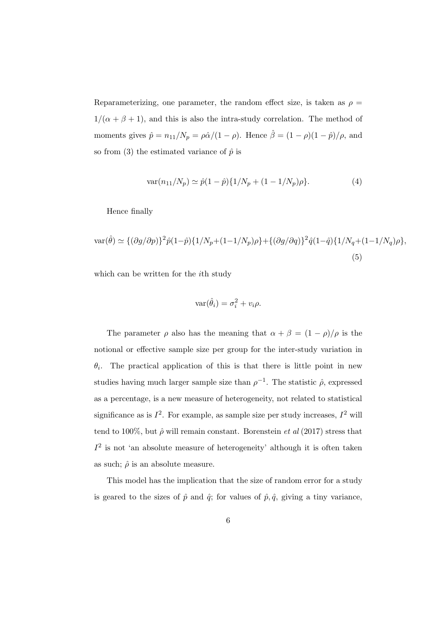Reparameterizing, one parameter, the random effect size, is taken as  $\rho =$  $1/(\alpha + \beta + 1)$ , and this is also the intra-study correlation. The method of moments gives  $\hat{p} = n_{11}/N_p = \rho \hat{\alpha}/(1 - \rho)$ . Hence  $\hat{\beta} = (1 - \rho)(1 - \hat{p})/\rho$ , and so from (3) the estimated variance of  $\hat{p}$  is

$$
var(n_{11}/N_p) \simeq \hat{p}(1-\hat{p})\{1/N_p + (1-1/N_p)\rho\}.
$$
 (4)

Hence finally

$$
\text{var}(\hat{\theta}) \simeq \{ (\partial g/\partial p) \}^2 \hat{p}(1-\hat{p}) \{ 1/N_p + (1-1/N_p)\rho \} + \{ (\partial g/\partial q) \}^2 \hat{q}(1-\hat{q}) \{ 1/N_q + (1-1/N_q)\rho \},
$$
\n(5)

which can be written for the *i*th study

$$
\text{var}(\hat{\theta}_i) = \sigma_i^2 + v_i \rho.
$$

The parameter  $\rho$  also has the meaning that  $\alpha + \beta = (1 - \rho)/\rho$  is the notional or effective sample size per group for the inter-study variation in  $\theta_i$ . The practical application of this is that there is little point in new studies having much larger sample size than  $\rho^{-1}$ . The statistic  $\hat{\rho}$ , expressed as a percentage, is a new measure of heterogeneity, not related to statistical significance as is  $I^2$ . For example, as sample size per study increases,  $I^2$  will tend to 100%, but  $\hat{\rho}$  will remain constant. Borenstein *et al* (2017) stress that  $I<sup>2</sup>$  is not 'an absolute measure of heterogeneity' although it is often taken as such;  $\hat{\rho}$  is an absolute measure.

This model has the implication that the size of random error for a study is geared to the sizes of  $\hat{p}$  and  $\hat{q}$ ; for values of  $\hat{p}, \hat{q}$ , giving a tiny variance,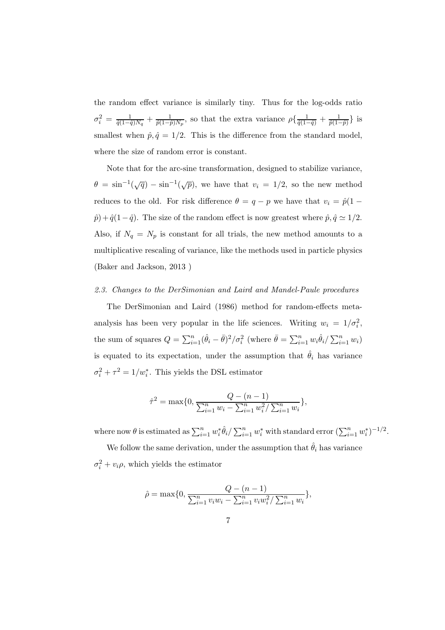the random effect variance is similarly tiny. Thus for the log-odds ratio  $\sigma_i^2 = \frac{1}{\hat{q}(1-\hat{q})N_q} + \frac{1}{\hat{p}(1-\hat{p})N_p}$ , so that the extra variance  $\rho\{\frac{1}{\hat{q}(1-\hat{q})} + \frac{1}{\hat{p}(1-\hat{p})}\}\$ is smallest when  $\hat{p}, \hat{q} = 1/2$ . This is the difference from the standard model, where the size of random error is constant.

Note that for the arc-sine transformation, designed to stabilize variance,  $\theta = \sin^{-1}(\sqrt{q}) - \sin^{-1}(\sqrt{p})$ , we have that  $v_i = 1/2$ , so the new method reduces to the old. For risk difference  $\theta = q - p$  we have that  $v_i = \hat{p}(1 \hat{p}$  +  $\hat{q}(1-\hat{q})$ . The size of the random effect is now greatest where  $\hat{p}, \hat{q} \simeq 1/2$ . Also, if  $N_q = N_p$  is constant for all trials, the new method amounts to a multiplicative rescaling of variance, like the methods used in particle physics (Baker and Jackson, 2013 )

#### 2.3. Changes to the DerSimonian and Laird and Mandel-Paule procedures

The DerSimonian and Laird (1986) method for random-effects metaanalysis has been very popular in the life sciences. Writing  $w_i = 1/\sigma_i^2$ , the sum of squares  $Q = \sum_{i=1}^n (\hat{\theta}_i - \bar{\theta})^2 / \sigma_i^2$  (where  $\bar{\theta} = \sum_{i=1}^n w_i \hat{\theta}_i / \sum_{i=1}^n w_i$ ) is equated to its expectation, under the assumption that  $\hat{\theta}_i$  has variance  $\sigma_i^2 + \tau^2 = 1/w_i^*$ . This yields the DSL estimator

$$
\hat{\tau}^2 = \max\{0, \frac{Q - (n-1)}{\sum_{i=1}^n w_i - \sum_{i=1}^n w_i^2 / \sum_{i=1}^n w_i}\},\
$$

where now  $\theta$  is estimated as  $\sum_{i=1}^{n} w_i^*$  $\sum_{i=1}^n w_i^*$  with standard error  $(\sum_{i=1}^n w_i^*)$  $i^{*}$ <sup>-1/2</sup>.

We follow the same derivation, under the assumption that  $\hat{\theta}_i$  has variance  $\sigma_i^2 + v_i \rho$ , which yields the estimator

$$
\hat{\rho} = \max\{0, \frac{Q - (n-1)}{\sum_{i=1}^{n} v_i w_i - \sum_{i=1}^{n} v_i w_i^2 / \sum_{i=1}^{n} w_i}\},\
$$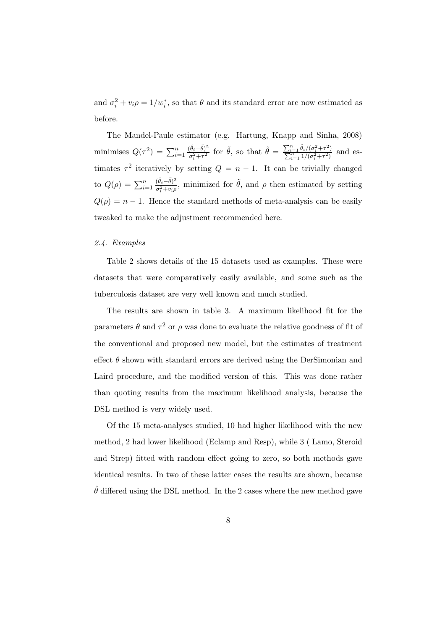and  $\sigma_i^2 + v_i \rho = 1/w_i^*$ , so that  $\theta$  and its standard error are now estimated as before.

The Mandel-Paule estimator (e.g. Hartung, Knapp and Sinha, 2008) minimises  $Q(\tau^2) = \sum_{i=1}^n$  $(\hat{\theta}_i - \tilde{\theta})^2$  $\frac{(\hat{\theta}_i - \tilde{\theta})^2}{\sigma_i^2 + \tau^2}$  for  $\tilde{\theta}$ , so that  $\tilde{\theta} = \frac{\sum_{i=1}^n \hat{\theta}_i / (\sigma_i^2 + \tau^2)}{\sum_{i=1}^n 1 / (\sigma_i^2 + \tau^2)}$  $\frac{\sum_{i=1}^{n} \frac{v_i}{(\sigma_i^2 + \tau^2)}}{\sum_{i=1}^{n} \frac{1}{(\sigma_i^2 + \tau^2)}}$  and estimates  $\tau^2$  iteratively by setting  $Q = n - 1$ . It can be trivially changed to  $Q(\rho) = \sum_{i=1}^n$  $(\hat{\theta}_i - \tilde{\theta})^2$  $\frac{(\theta_i - \theta)^2}{\sigma_i^2 + v_i \rho}$ , minimized for  $\tilde{\theta}$ , and  $\rho$  then estimated by setting  $Q(\rho) = n - 1$ . Hence the standard methods of meta-analysis can be easily tweaked to make the adjustment recommended here.

#### 2.4. Examples

Table 2 shows details of the 15 datasets used as examples. These were datasets that were comparatively easily available, and some such as the tuberculosis dataset are very well known and much studied.

The results are shown in table 3. A maximum likelihood fit for the parameters  $\theta$  and  $\tau^2$  or  $\rho$  was done to evaluate the relative goodness of fit of the conventional and proposed new model, but the estimates of treatment effect  $\theta$  shown with standard errors are derived using the DerSimonian and Laird procedure, and the modified version of this. This was done rather than quoting results from the maximum likelihood analysis, because the DSL method is very widely used.

Of the 15 meta-analyses studied, 10 had higher likelihood with the new method, 2 had lower likelihood (Eclamp and Resp), while 3 ( Lamo, Steroid and Strep) fitted with random effect going to zero, so both methods gave identical results. In two of these latter cases the results are shown, because  $\hat{\theta}$  differed using the DSL method. In the 2 cases where the new method gave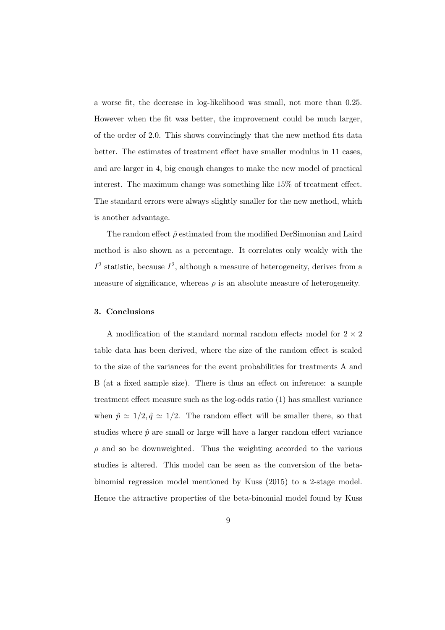a worse fit, the decrease in log-likelihood was small, not more than 0.25. However when the fit was better, the improvement could be much larger, of the order of 2.0. This shows convincingly that the new method fits data better. The estimates of treatment effect have smaller modulus in 11 cases, and are larger in 4, big enough changes to make the new model of practical interest. The maximum change was something like 15% of treatment effect. The standard errors were always slightly smaller for the new method, which is another advantage.

The random effect  $\hat{\rho}$  estimated from the modified DerSimonian and Laird method is also shown as a percentage. It correlates only weakly with the  $I<sup>2</sup>$  statistic, because  $I<sup>2</sup>$ , although a measure of heterogeneity, derives from a measure of significance, whereas  $\rho$  is an absolute measure of heterogeneity.

#### 3. Conclusions

A modification of the standard normal random effects model for  $2 \times 2$ table data has been derived, where the size of the random effect is scaled to the size of the variances for the event probabilities for treatments A and B (at a fixed sample size). There is thus an effect on inference: a sample treatment effect measure such as the log-odds ratio (1) has smallest variance when  $\hat{p} \simeq 1/2, \hat{q} \simeq 1/2$ . The random effect will be smaller there, so that studies where  $\hat{p}$  are small or large will have a larger random effect variance  $\rho$  and so be downweighted. Thus the weighting accorded to the various studies is altered. This model can be seen as the conversion of the betabinomial regression model mentioned by Kuss (2015) to a 2-stage model. Hence the attractive properties of the beta-binomial model found by Kuss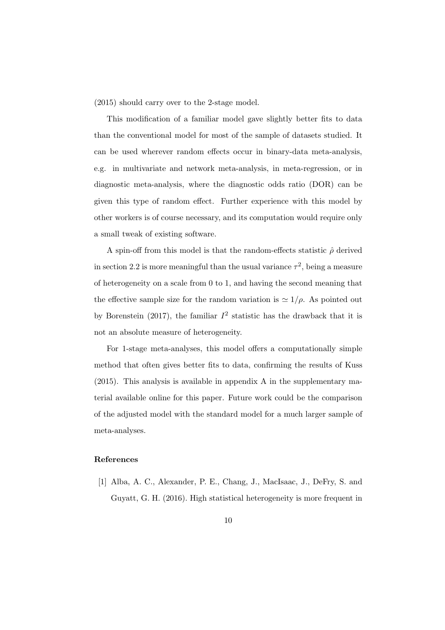(2015) should carry over to the 2-stage model.

This modification of a familiar model gave slightly better fits to data than the conventional model for most of the sample of datasets studied. It can be used wherever random effects occur in binary-data meta-analysis, e.g. in multivariate and network meta-analysis, in meta-regression, or in diagnostic meta-analysis, where the diagnostic odds ratio (DOR) can be given this type of random effect. Further experience with this model by other workers is of course necessary, and its computation would require only a small tweak of existing software.

A spin-off from this model is that the random-effects statistic  $\hat{\rho}$  derived in section 2.2 is more meaningful than the usual variance  $\tau^2$ , being a measure of heterogeneity on a scale from 0 to 1, and having the second meaning that the effective sample size for the random variation is  $\simeq 1/\rho$ . As pointed out by Borenstein (2017), the familiar  $I^2$  statistic has the drawback that it is not an absolute measure of heterogeneity.

For 1-stage meta-analyses, this model offers a computationally simple method that often gives better fits to data, confirming the results of Kuss (2015). This analysis is available in appendix A in the supplementary material available online for this paper. Future work could be the comparison of the adjusted model with the standard model for a much larger sample of meta-analyses.

#### References

[1] Alba, A. C., Alexander, P. E., Chang, J., MacIsaac, J., DeFry, S. and Guyatt, G. H. (2016). High statistical heterogeneity is more frequent in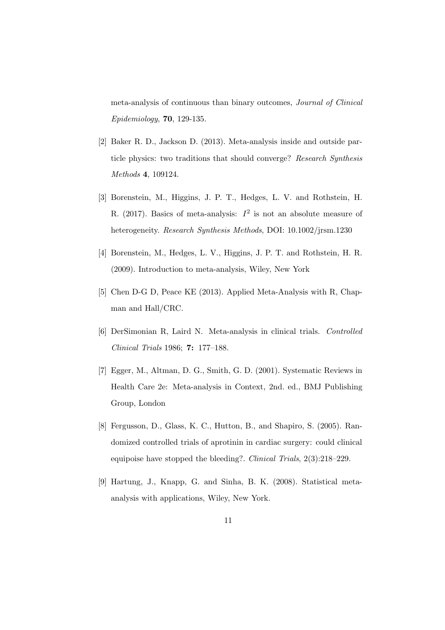meta-analysis of continuous than binary outcomes, Journal of Clinical Epidemiology, 70, 129-135.

- [2] Baker R. D., Jackson D. (2013). Meta-analysis inside and outside particle physics: two traditions that should converge? Research Synthesis Methods 4, 109124.
- [3] Borenstein, M., Higgins, J. P. T., Hedges, L. V. and Rothstein, H. R. (2017). Basics of meta-analysis:  $I^2$  is not an absolute measure of heterogeneity. Research Synthesis Methods, DOI: 10.1002/jrsm.1230
- [4] Borenstein, M., Hedges, L. V., Higgins, J. P. T. and Rothstein, H. R. (2009). Introduction to meta-analysis, Wiley, New York
- [5] Chen D-G D, Peace KE (2013). Applied Meta-Analysis with R, Chapman and Hall/CRC.
- [6] DerSimonian R, Laird N. Meta-analysis in clinical trials. Controlled Clinical Trials 1986; 7: 177–188.
- [7] Egger, M., Altman, D. G., Smith, G. D. (2001). Systematic Reviews in Health Care 2e: Meta-analysis in Context, 2nd. ed., BMJ Publishing Group, London
- [8] Fergusson, D., Glass, K. C., Hutton, B., and Shapiro, S. (2005). Randomized controlled trials of aprotinin in cardiac surgery: could clinical equipoise have stopped the bleeding?. Clinical Trials, 2(3):218–229.
- [9] Hartung, J., Knapp, G. and Sinha, B. K. (2008). Statistical metaanalysis with applications, Wiley, New York.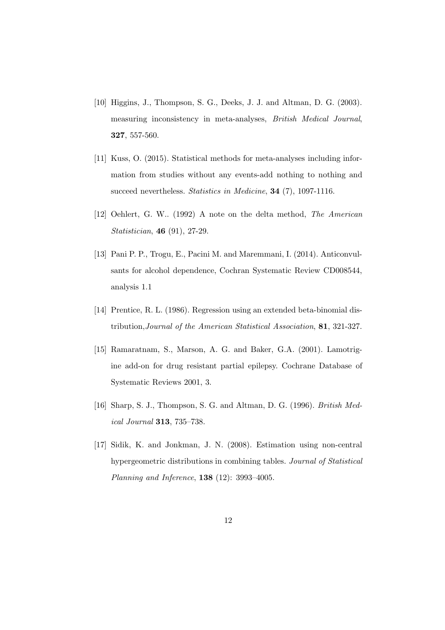- [10] Higgins, J., Thompson, S. G., Deeks, J. J. and Altman, D. G. (2003). measuring inconsistency in meta-analyses, British Medical Journal, 327, 557-560.
- [11] Kuss, O. (2015). Statistical methods for meta-analyses including information from studies without any events-add nothing to nothing and succeed nevertheless. Statistics in Medicine, 34 (7), 1097-1116.
- [12] Oehlert, G. W.. (1992) A note on the delta method, The American Statistician, 46 (91), 27-29.
- [13] Pani P. P., Trogu, E., Pacini M. and Maremmani, I. (2014). Anticonvulsants for alcohol dependence, Cochran Systematic Review CD008544, analysis 1.1
- [14] Prentice, R. L. (1986). Regression using an extended beta-binomial distribution,Journal of the American Statistical Association, 81, 321-327.
- [15] Ramaratnam, S., Marson, A. G. and Baker, G.A. (2001). Lamotrigine add-on for drug resistant partial epilepsy. Cochrane Database of Systematic Reviews 2001, 3.
- [16] Sharp, S. J., Thompson, S. G. and Altman, D. G. (1996). *British Med*ical Journal 313, 735–738.
- [17] Sidik, K. and Jonkman, J. N. (2008). Estimation using non-central hypergeometric distributions in combining tables. Journal of Statistical Planning and Inference, 138 (12): 3993–4005.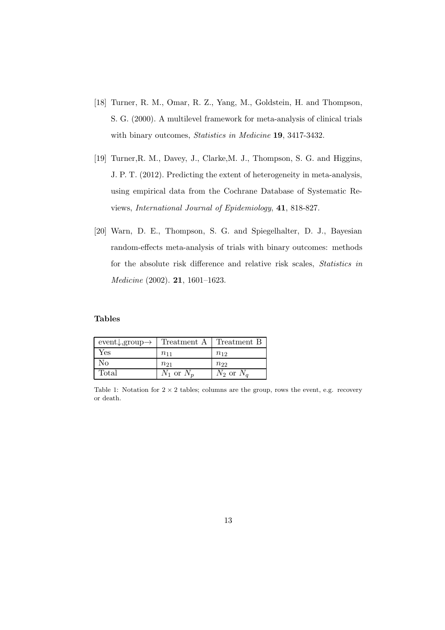- [18] Turner, R. M., Omar, R. Z., Yang, M., Goldstein, H. and Thompson, S. G. (2000). A multilevel framework for meta-analysis of clinical trials with binary outcomes, Statistics in Medicine 19, 3417-3432.
- [19] Turner,R. M., Davey, J., Clarke,M. J., Thompson, S. G. and Higgins, J. P. T. (2012). Predicting the extent of heterogeneity in meta-analysis, using empirical data from the Cochrane Database of Systematic Reviews, International Journal of Epidemiology, 41, 818-827.
- [20] Warn, D. E., Thompson, S. G. and Spiegelhalter, D. J., Bayesian random-effects meta-analysis of trials with binary outcomes: methods for the absolute risk difference and relative risk scales, Statistics in Medicine (2002). 21, 1601–1623.

#### Tables

| event, group $\rightarrow$ | Treatment A    | Treatment B    |
|----------------------------|----------------|----------------|
| Yes                        | $n_{11}$       | $n_{12}$       |
| No                         | $n_{21}$       | $n_{22}$       |
| Total                      | $N_1$ or $N_p$ | $N_2$ or $N_q$ |

Table 1: Notation for  $2 \times 2$  tables; columns are the group, rows the event, e.g. recovery or death.